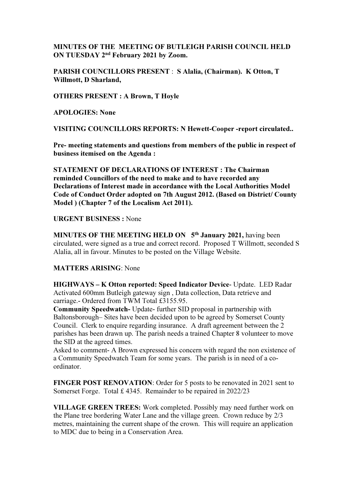MINUTES OF THE MEETING OF BUTLEIGH PARISH COUNCIL HELD ON TUESDAY 2nd February 2021 by Zoom.

PARISH COUNCILLORS PRESENT : S Alalia, (Chairman). K Otton, T Willmott, D Sharland,

OTHERS PRESENT : A Brown, T Hoyle

APOLOGIES: None

VISITING COUNCILLORS REPORTS: N Hewett-Cooper -report circulated..

Pre- meeting statements and questions from members of the public in respect of business itemised on the Agenda :

STATEMENT OF DECLARATIONS OF INTEREST : The Chairman reminded Councillors of the need to make and to have recorded any Declarations of Interest made in accordance with the Local Authorities Model Code of Conduct Order adopted on 7th August 2012. (Based on District/ County Model ) (Chapter 7 of the Localism Act 2011).

URGENT BUSINESS : None

MINUTES OF THE MEETING HELD ON 5<sup>th</sup> January 2021, having been circulated, were signed as a true and correct record. Proposed T Willmott, seconded S Alalia, all in favour. Minutes to be posted on the Village Website.

## MATTERS ARISING: None

HIGHWAYS – K Otton reported: Speed Indicator Device- Update. LED Radar Activated 600mm Butleigh gateway sign , Data collection, Data retrieve and carriage.- Ordered from TWM Total £3155.95.

Community Speedwatch- Update- further SID proposal in partnership with Baltonsborough– Sites have been decided upon to be agreed by Somerset County Council. Clerk to enquire regarding insurance. A draft agreement between the 2 parishes has been drawn up. The parish needs a trained Chapter 8 volunteer to move the SID at the agreed times.

Asked to comment- A Brown expressed his concern with regard the non existence of a Community Speedwatch Team for some years. The parish is in need of a coordinator.

FINGER POST RENOVATION: Order for 5 posts to be renovated in 2021 sent to Somerset Forge. Total £ 4345. Remainder to be repaired in 2022/23

VILLAGE GREEN TREES: Work completed. Possibly may need further work on the Plane tree bordering Water Lane and the village green. Crown reduce by 2/3 metres, maintaining the current shape of the crown. This will require an application to MDC due to being in a Conservation Area.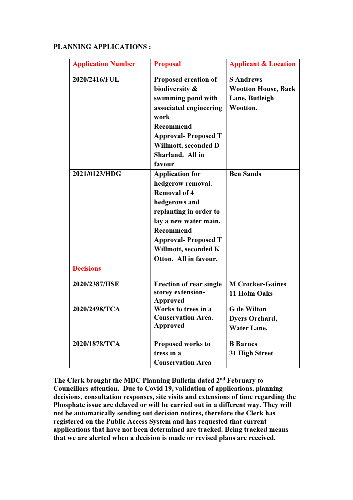## PLANNING APPLICATIONS :

| <b>Application Number</b> | <b>Proposal</b>                                                                                                                                                                                                                           | <b>Applicant &amp; Location</b>                                              |
|---------------------------|-------------------------------------------------------------------------------------------------------------------------------------------------------------------------------------------------------------------------------------------|------------------------------------------------------------------------------|
| 2020/2416/FUL             | Proposed creation of<br>biodiversity &<br>swimming pond with<br>associated engineering<br>work<br><b>Recommend</b><br><b>Approval-Proposed T</b><br>Willmott, seconded D<br>Sharland. All in<br>favour                                    | <b>S</b> Andrews<br><b>Wootton House, Back</b><br>Lane, Butleigh<br>Wootton. |
| 2021/0123/HDG             | <b>Application for</b><br>hedgerow removal.<br><b>Removal of 4</b><br>hedgerows and<br>replanting in order to<br>lay a new water main.<br><b>Recommend</b><br><b>Approval-Proposed T</b><br>Willmott, seconded K<br>Otton. All in favour. | <b>Ben Sands</b>                                                             |
| <b>Decisions</b>          |                                                                                                                                                                                                                                           |                                                                              |
| 2020/2387/HSE             | <b>Erection of rear single</b><br>storey extension-<br><b>Approved</b>                                                                                                                                                                    | <b>M Crocker-Gaines</b><br>11 Holm Oaks                                      |
| 2020/2498/TCA             | Works to trees in a<br><b>Conservation Area.</b><br><b>Approved</b>                                                                                                                                                                       | <b>G</b> de Wilton<br><b>Dyers Orchard,</b><br><b>Water Lane.</b>            |
| 2020/1878/TCA             | Proposed works to<br>tress in a<br><b>Conservation Area</b>                                                                                                                                                                               | <b>B</b> Barnes<br>31 High Street                                            |

The Clerk brought the MDC Planning Bulletin dated 2nd February to Councillors attention. Due to Covid 19, validation of applications, planning decisions, consultation responses, site visits and extensions of time regarding the Phosphate issue are delayed or will be carried out in a different way. They will not be automatically sending out decision notices, therefore the Clerk has registered on the Public Access System and has requested that current applications that have not been determined are tracked. Being tracked means that we are alerted when a decision is made or revised plans are received.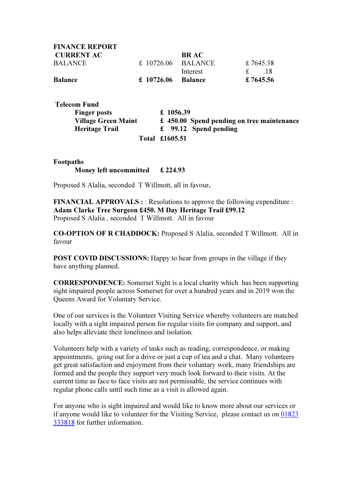| <b>FINANCE REPORT</b> |                      |             |                      |
|-----------------------|----------------------|-------------|----------------------|
| <b>CURRENT AC</b>     |                      | <b>BRAC</b> |                      |
| <b>BALANCE</b>        | $£$ 10726.06 BALANCE |             | £7645.38             |
|                       |                      | Interest    | f<br>$\overline{18}$ |
| <b>Balance</b>        | $£ 10726.06$ Balance |             | £ 7645.56            |

| <b>Telecom Fund</b>        |                                            |
|----------------------------|--------------------------------------------|
| <b>Finger posts</b>        | £ 1056.39                                  |
| <b>Village Green Maint</b> | £ 450.00 Spend pending on tree maintenance |
| <b>Heritage Trail</b>      | $\text{\pounds}$ 99.12 Spend pending       |
|                            | Total £1605.51                             |

## Footpaths Money left uncommitted £ 224.93

Proposed S Alalia, seconded T Willmott, all in favour.

FINANCIAL APPROVALS : : Resolutions to approve the following expenditure : Adam Clarke Tree Surgeon £450. M Day Heritage Trail £99.12 Proposed S Alalia , seconded T Willmott. All in favour

CO-OPTION OF R CHADDOCK: Proposed S Alalia, seconded T Willmott. All in favour

POST COVID DISCUSSIONS: Happy to hear from groups in the village if they have anything planned.

CORRESPONDENCE: Somerset Sight is a local charity which has been supporting sight impaired people across Somerset for over a hundred years and in 2019 won the Queens Award for Voluntary Service.

One of our services is the Volunteer Visiting Service whereby volunteers are matched locally with a sight impaired person for regular visits for company and support, and also helps alleviate their loneliness and isolation.

Volunteers help with a variety of tasks such as reading, correspondence, or making appointments, going out for a drive or just a cup of tea and a chat. Many volunteers get great satisfaction and enjoyment from their voluntary work, many friendships are formed and the people they support very much look forward to their visits. At the current time as face to face visits are not permissable, the service continues with regular phone calls until such time as a visit is allowed again.

For anyone who is sight impaired and would like to know more about our services or if anyone would like to volunteer for the Visiting Service, please contact us on 01823 333818 for further information.